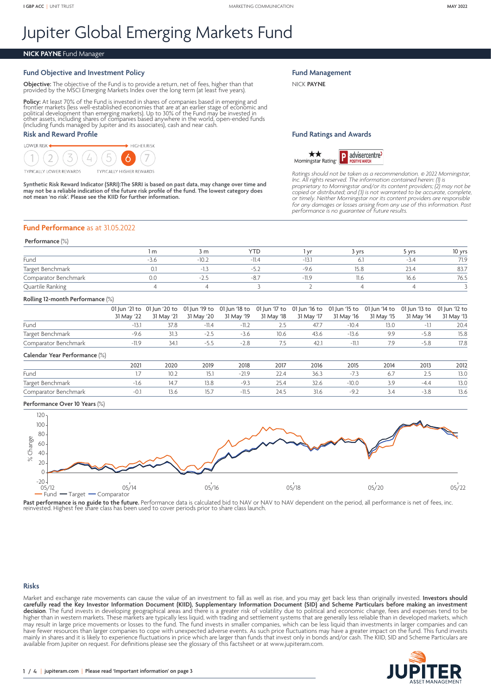# Jupiter Global Emerging Markets Fund

### **NICK PAYNE** Fund Manager

# **Fund Objective and Investment Policy**

**Objective:** The objective of the Fund is to provide a return, net of fees, higher than that provided by the MSCI Emerging Markets Index over the long term (at least five years).

**Policy:** At least 70% of the Fund is invested in shares of companies based in emerging and frontier markets (less well-established economic apploitical development frame political development than emerging markets). Up to

## **Risk and Reward Profile**



Synthetic Risk Reward Indicator (SRRI):The SRRI is based on past data, may change over time and<br>may not be a reliable indication of the future risk profile of the fund. The lowest category does<br>not mean 'no risk'. Please s

**Fund Management**

NICK **PAYNE**

#### **Fund Ratings and Awards**



*Ratings should not be taken as a recommendation.* © *2022 Morningstar,*  Inc. All rights reserved. The information contained herein: (1) is<br>proprietary to Morningstar and/or its content providers; (2) may not be<br>copied or distributed; and (3) is not warranted to be accurate, complete, *or timely. Neither Morningstar nor its content providers are responsible for any damages or losses arising from any use of this information. Past performance is no guarantee of future results.*

#### **Fund Performance** as at 31.05.2022

#### **Performance** (%)

|                      | , m | 3 m    | $\overline{\phantom{0}}$ |      |      | 5 vrs         | 10 yrs |
|----------------------|-----|--------|--------------------------|------|------|---------------|--------|
| Fund                 |     | $-10.$ |                          |      |      |               | 71.9   |
| Target Benchmark     |     |        |                          | $-4$ | 15.č | $\sim$ $\sim$ | 83.7   |
| Comparator Benchmark |     | $-1$   |                          |      | 11.C | 16.6          | 76.5   |
| Quartile Ranking     |     |        |                          |      |      |               |        |

#### **Rolling 12-month Performance** (%)

|                      |            | 01 Jun '21 to 01 Jun '20 to 01 Jun '19 to 01 Jun '18 to 01 Jun '17 to 01 Jun '16 to 01 Jun '15 to 01 Jun '14 to 01 Jun '13 to 01 Jun '12 to |         |                                                |      |            |            |            |            |            |
|----------------------|------------|---------------------------------------------------------------------------------------------------------------------------------------------|---------|------------------------------------------------|------|------------|------------|------------|------------|------------|
|                      | 31 May '22 |                                                                                                                                             |         | 31 May '21  31 May '20  31 May '19  31 May '18 |      | 31 May '17 | 31 May '16 | 31 May '15 | 31 Mav '14 | 31 May '13 |
| Fund                 |            | 37.8                                                                                                                                        | $-11.4$ | $-11.2$                                        |      | 47.7       | $-10.4$    | 13.0       |            | 20.4       |
| Target Benchmark     |            |                                                                                                                                             |         | $-3.6$                                         | 10.6 | 43.6       | $-13.6$    | QQ         | $-5.8$     | 15.8       |
| Comparator Benchmark |            | 341                                                                                                                                         |         | $-28$                                          |      | 471        | $-111$     |            | $-5.8$     | 17.8       |
|                      |            |                                                                                                                                             |         |                                                |      |            |            |            |            |            |

#### **Calendar Year Performance** (%)

|                      | 202 | 2020 | 2019   | 2018 | 2017 | 2016 | 2015                           | 2014              | 2013        | 2012 |
|----------------------|-----|------|--------|------|------|------|--------------------------------|-------------------|-------------|------|
| Fund                 |     |      | 15.I   |      | 22.4 | 36.3 |                                | $\cup$ . $\prime$ | ر . ے       | 13.U |
| Target Benchmark     |     |      |        |      | 25.4 | 32.6 | $-10.0$                        | -                 | -4 Z<br>. . | 13.0 |
| Comparator Benchmark |     |      | $\cup$ |      | 24.5 | 31.6 | -a<br>$\overline{\phantom{a}}$ | 3.4               | -3.8        | 13.6 |

#### **Performance Over 10 Years** (%)



Past performance is no guide to the future. Performance data is calculated bid to NAV or NAV to NAV dependent on the period, all performance is net of fees, inc<br>reinvested. Highest fee share class has been used to cover pe

#### **Risks**

Market and exchange rate movements can cause the value of an investment to fall as well as rise, and you may get back less than originally invested. **Investors should carefully read the Key Investor Information Document (KIID), Supplementary Information Document (SID) and Scheme Particulars before making an investment**  decision. The fund invests in developing geographical areas and there is a greater risk of volatility due to political and economic change, fees and expenses tend to be higher than in western markets. These markets are typically less liquid, with trading and settlement systems that are generally less reliable than in developed markets, which may result in large price movements or losses to the fund. The fund invests in smaller companies, which can be less liquid than investments in larger companies and can have fewer resources than larger companies to cope with unexpected adverse events. As such price fluctuations may have a greater impact on the fund. This fund invests mainly in shares and it is likely to experience fluctuations in price which are larger than funds that invest only in bonds and/or cash. The KIID, SID and Scheme Particulars are available from Jupiter on request. For definitions please see the glossary of this factsheet or at <www.jupiteram.com>.

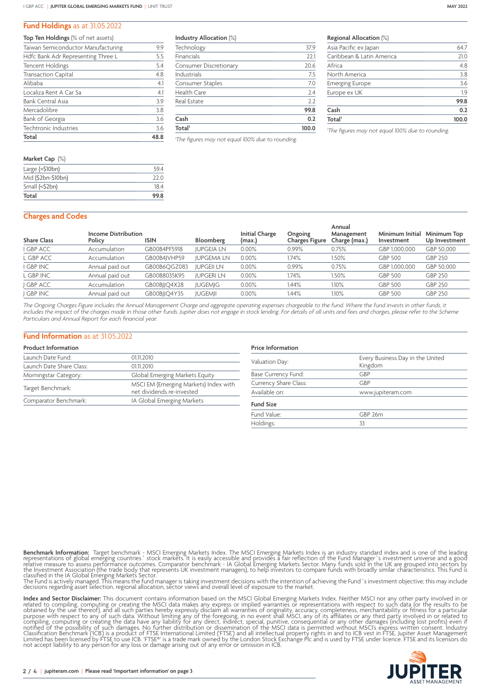#### **Fund Holdings** as at 31.05.2022

| <b>Top Ten Holdings</b> (% of net assets) |      |
|-------------------------------------------|------|
| Taiwan Semiconductor Manufacturing        | 9.9  |
| Hdfc Bank Adr Representing Three L        | 5.5  |
| <b>Tencent Holdings</b>                   | 5.4  |
| <b>Transaction Capital</b>                | 4.8  |
| Alibaba                                   | 4.1  |
| Localiza Rent A Car Sa                    | 4.1  |
| <b>Bank Central Asia</b>                  | 3.9  |
| Mercadolibre                              | 3.8  |
| Bank of Georgia                           | 3.6  |
| Techtronic Industries                     | 3.6  |
| Total                                     | 48.8 |
|                                           |      |

| Market Cap (%)        |      |
|-----------------------|------|
| Large $($ >\$10 $bn)$ | 594  |
| Mid (\$2bn-\$10bn)    | 22 O |
| Small (<\$2bn)        | 18.4 |
| Total                 | 99.8 |
|                       |      |

**Industry Allocation** (%)

| Total <sup>1</sup>            | 100.0 |  |  |
|-------------------------------|-------|--|--|
| Cash                          | 0.2   |  |  |
|                               | 99.8  |  |  |
| Real Estate                   | 2.2   |  |  |
| <b>Health Care</b>            | 2.4   |  |  |
| Consumer Staples              | 7.0   |  |  |
| Industrials                   | 7.5   |  |  |
| <b>Consumer Discretionary</b> | 20.6  |  |  |
| Financials                    | 22.1  |  |  |
| Technology                    | 37.9  |  |  |

*1 The figures may not equal 100% due to rounding.*

**Regional Allocation** (%)

| Asia Pacific ex Japan     | 64.7  |
|---------------------------|-------|
| Caribbean & Latin America | 21.0  |
| Africa                    | 4.8   |
| North America             | 3.8   |
| <b>Emerging Europe</b>    | 3.6   |
| Europe ex UK              | 1.9   |
|                           | 99.8  |
| Cash                      | 0.2   |
| Total <sup>1</sup>        | 100.0 |
|                           |       |

*1 The figures may not equal 100% due to rounding.*

#### **Charges and Codes**

| <b>Share Class</b> | <b>Income Distribution</b><br>Policy | <b>ISIN</b>  | Bloomberg         | <b>Initial Charge</b><br>(max.) | Ongoing<br><b>Charges Figure</b> | Annual<br>Management<br>Charge (max.) | Minimum Initial<br>Investment | Minimum Top<br>Up Investment |
|--------------------|--------------------------------------|--------------|-------------------|---------------------------------|----------------------------------|---------------------------------------|-------------------------------|------------------------------|
| I GBP ACC          | Accumulation                         | GB00B4PF5918 | <b>JUPGEIA LN</b> | $0.00\%$                        | 0.99%                            | 0.75%                                 | GBP 1,000,000                 | GBP 50,000                   |
| L GBP ACC          | Accumulation                         | GB00B4JVHP59 | <b>JUPGEMALN</b>  | $0.00\%$                        | 1.74%                            | 1.50%                                 | <b>GBP 500</b>                | GBP 250                      |
| I GBP INC          | Annual paid out                      | GB00B6QGZ083 | <b>JUPGEII LN</b> | 0.00%                           | 0.99%                            | 0.75%                                 | GBP 1,000,000                 | GBP 50,000                   |
| L GBP INC          | Annual paid out                      | GB00B8035K95 | <b>JUPGERI LN</b> | $0.00\%$                        | .74%                             | 1.50%                                 | <b>GBP 500</b>                | <b>GBP 250</b>               |
| <b>GBP ACC</b>     | Accumulation                         | GB00BJJQ4X28 | <b>JUGEMJG</b>    | $0.00\%$                        | 1.44%                            | $1.10\%$                              | <b>GBP 500</b>                | <b>GBP 250</b>               |
| <b>GBP INC</b>     | Annual paid out                      | GB00BJJQ4Y35 | <b>JUGEMJI</b>    | $0.00\%$                        | .44%                             | $1.10\%$                              | <b>GBP 500</b>                | GBP 250                      |
|                    |                                      |              |                   |                                 |                                  |                                       |                               |                              |

*The Ongoing Charges Figure includes the Annual Management Charge and aggregate operating expenses chargeable to the fund. Where the fund invests in other funds, it includes the impact of the charges made in those other funds. Jupiter does not engage in stock lending. For details of all units and fees and charges, please refer to the Scheme Particulars and Annual Report for each financial year.*

#### **Fund Information** as at 31.05.2022

#### **Product Information**

| Launch Date Fund:        | 0111 2010                                                          |
|--------------------------|--------------------------------------------------------------------|
| Launch Date Share Class: | 01.11.2010                                                         |
| Morningstar Category:    | Global Emerging Markets Equity                                     |
| Target Benchmark:        | MSCI EM (Emerging Markets) Index with<br>net dividends re-invested |
| Comparator Benchmark:    | IA Global Emerging Markets                                         |

# **Price Information**

| Valuation Day:        | Every Business Day in the United<br>Kingdom |  |  |  |  |
|-----------------------|---------------------------------------------|--|--|--|--|
| Base Currency Fund:   | GBP                                         |  |  |  |  |
| Currency Share Class: | GBP                                         |  |  |  |  |
| Available on:         | www.jupiteram.com                           |  |  |  |  |
| <b>Fund Size</b>      |                                             |  |  |  |  |
| Fund Value:           | GBP 26m                                     |  |  |  |  |
| Holdings:             | 33                                          |  |  |  |  |

**Benchmark Information:** Target benchmark - MSCI Emerging Markets Index. The MSCI Emerging Markets Index is an industry standard index and is one of the leading<br>representations of global emerging countries' stock markets.

**Index and Sector Disclaimer:** This document contains information based on the MSCI Global Emerging Markets Index. Neither MSCI nor any other party involved in or related to compiling, computing or creating the MSCI stat m

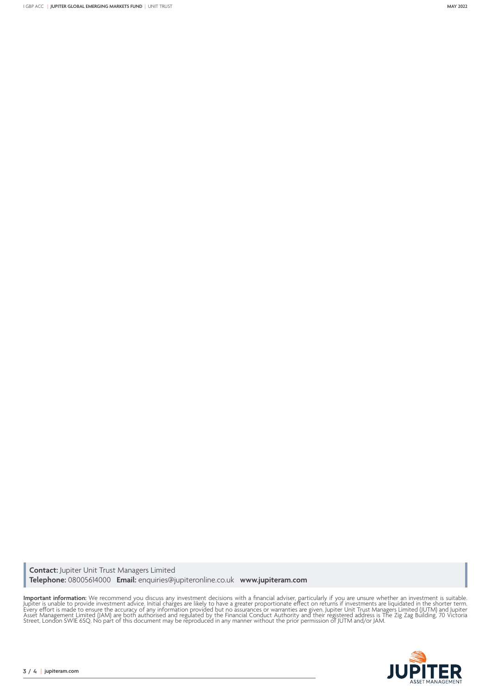**Contact:** Jupiter Unit Trust Managers Limited **Telephone:** 08005614000 **Email:** enquiries@jupiteronline.co.uk **www.jupiteram.com**

**Important information:** We recommend you discuss any investment decisions with a financial adviser, particularly if you are unsure whether an investment is suitable.<br>Jupiter is unable to provide investment advice. Initial